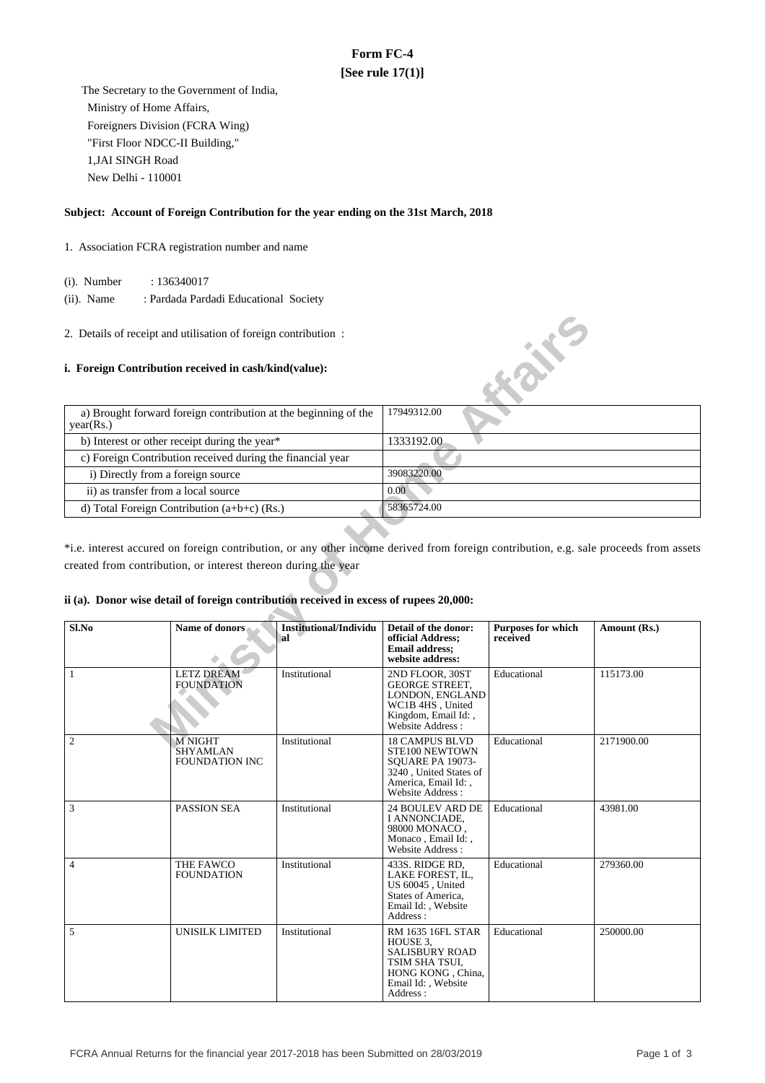# **Form FC-4 [See rule 17(1)]**

 The Secretary to the Government of India, Ministry of Home Affairs, Foreigners Division (FCRA Wing) "First Floor NDCC-II Building," 1,JAI SINGH Road New Delhi - 110001

### **Subject: Account of Foreign Contribution for the year ending on the 31st March, 2018**

- 1. Association FCRA registration number and name
	- (i). Number : 136340017
	- (ii). Name : Pardada Pardadi Educational Society
- 2. Details of receipt and utilisation of foreign contribution :

#### **i. Foreign Contribution received in cash/kind(value):**

| a) Brought forward foreign contribution at the beginning of the<br>year(Rs.) | 17949312.00 |
|------------------------------------------------------------------------------|-------------|
| b) Interest or other receipt during the year*                                | 1333192.00  |
| c) Foreign Contribution received during the financial year                   |             |
| i) Directly from a foreign source                                            | 39083220.00 |
| ii) as transfer from a local source                                          | 0.00        |
| d) Total Foreign Contribution $(a+b+c)$ (Rs.)                                | 58365724.00 |

### **ii (a). Donor wise detail of foreign contribution received in excess of rupees 20,000:**

|                                                                                                                                                                                                                                                                                                   | 2. Details of receipt and utilisation of foreign contribution : |                                     |                                                                                                                                        | <b>KANE</b>                           |              |  |
|---------------------------------------------------------------------------------------------------------------------------------------------------------------------------------------------------------------------------------------------------------------------------------------------------|-----------------------------------------------------------------|-------------------------------------|----------------------------------------------------------------------------------------------------------------------------------------|---------------------------------------|--------------|--|
|                                                                                                                                                                                                                                                                                                   | i. Foreign Contribution received in cash/kind(value):           |                                     |                                                                                                                                        |                                       |              |  |
| a) Brought forward foreign contribution at the beginning of the<br>year(Rs.)                                                                                                                                                                                                                      |                                                                 |                                     | 17949312.00                                                                                                                            |                                       |              |  |
|                                                                                                                                                                                                                                                                                                   | b) Interest or other receipt during the year*                   |                                     | 1333192.00                                                                                                                             |                                       |              |  |
|                                                                                                                                                                                                                                                                                                   | c) Foreign Contribution received during the financial year      |                                     |                                                                                                                                        |                                       |              |  |
| i) Directly from a foreign source                                                                                                                                                                                                                                                                 |                                                                 |                                     | 39083220.00                                                                                                                            |                                       |              |  |
| ii) as transfer from a local source                                                                                                                                                                                                                                                               |                                                                 |                                     | 0.00                                                                                                                                   |                                       |              |  |
|                                                                                                                                                                                                                                                                                                   | d) Total Foreign Contribution $(a+b+c)$ (Rs.)                   |                                     | 58365724.00                                                                                                                            |                                       |              |  |
| *i.e. interest accured on foreign contribution, or any other income derived from foreign contribution, e.g. sale proceeds from assets<br>created from contribution, or interest thereon during the year<br>ii (a). Donor wise detail of foreign contribution received in excess of rupees 20,000: |                                                                 |                                     |                                                                                                                                        |                                       |              |  |
| Sl.No                                                                                                                                                                                                                                                                                             | Name of donors                                                  | <b>Institutional/Individu</b><br>al | Detail of the donor:<br>official Address;<br><b>Email address;</b><br>website address:                                                 | <b>Purposes for which</b><br>received | Amount (Rs.) |  |
| $\mathbf{1}$                                                                                                                                                                                                                                                                                      | <b>LETZ DREAM</b><br><b>FOUNDATION</b>                          | Institutional                       | 2ND FLOOR, 30ST<br><b>GEORGE STREET,</b><br>LONDON, ENGLAND<br>WC1B 4HS, United<br>Kingdom, Email Id:,<br>Website Address :            | Educational                           | 115173.00    |  |
| $\overline{2}$                                                                                                                                                                                                                                                                                    | <b>M NIGHT</b><br>SHYAMLAN<br><b>FOUNDATION INC</b>             | Institutional                       | <b>18 CAMPUS BLVD</b><br>STE100 NEWTOWN<br>SOUARE PA 19073-<br>3240, United States of<br>America, Email Id:,<br>Website Address:       | Educational                           | 2171900.00   |  |
| 3                                                                                                                                                                                                                                                                                                 | PASSION SEA                                                     | Institutional                       | 24 BOULEV ARD DE<br>I ANNONCIADE,<br>98000 MONACO,<br>Monaco, Email Id:,<br>Website Address:                                           | Educational                           | 43981.00     |  |
| 4                                                                                                                                                                                                                                                                                                 | THE FAWCO<br><b>FOUNDATION</b>                                  | Institutional                       | 433S. RIDGE RD,<br>LAKE FOREST, IL,<br>US 60045, United<br>States of America,<br>Email Id:, Website<br>Address:                        | Educational                           | 279360.00    |  |
| 5                                                                                                                                                                                                                                                                                                 | UNISILK LIMITED                                                 | Institutional                       | <b>RM 1635 16FL STAR</b><br>HOUSE 3.<br><b>SALISBURY ROAD</b><br>TSIM SHA TSUI.<br>HONG KONG, China,<br>Email Id:, Website<br>Address: | Educational                           | 250000.00    |  |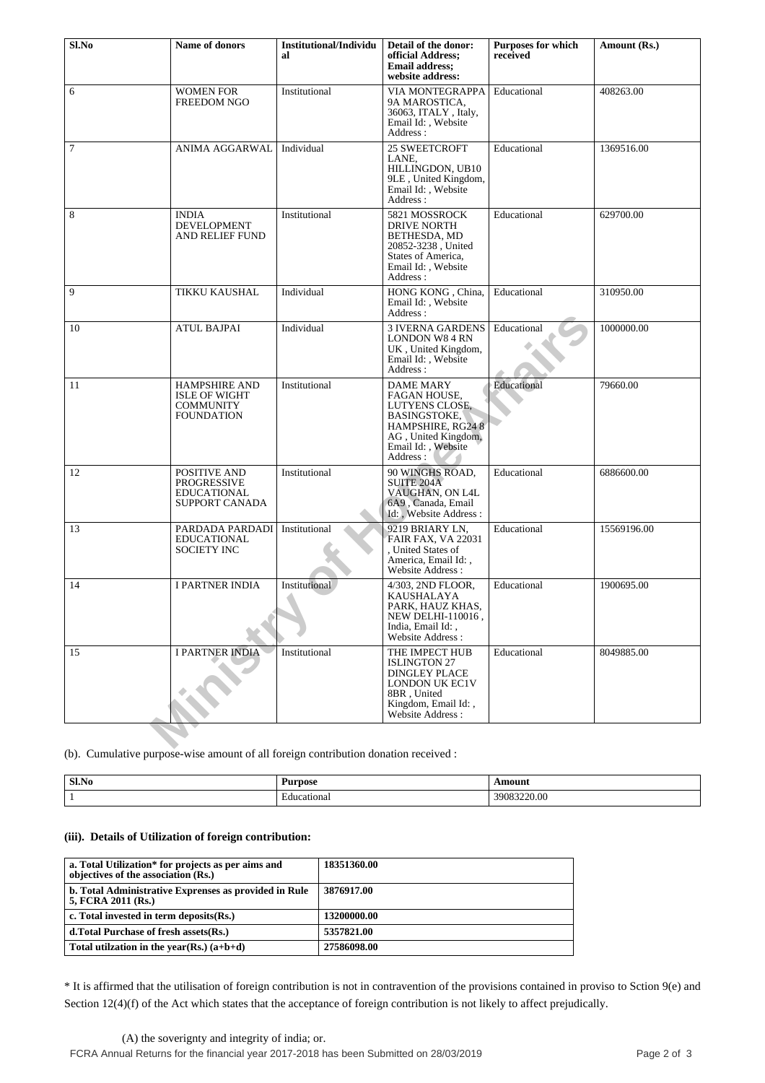| Sl.No          | Name of donors                                                                        | <b>Institutional/Individu</b><br>al | Detail of the donor:<br>official Address;<br><b>Email address:</b><br>website address:                                                                  | <b>Purposes for which</b><br>received | Amount (Rs.) |
|----------------|---------------------------------------------------------------------------------------|-------------------------------------|---------------------------------------------------------------------------------------------------------------------------------------------------------|---------------------------------------|--------------|
| 6              | <b>WOMEN FOR</b><br><b>FREEDOM NGO</b>                                                | Institutional                       | VIA MONTEGRAPPA<br>9A MAROSTICA,<br>36063, ITALY, Italy,<br>Email Id:, Website<br>Address:                                                              | Educational                           | 408263.00    |
| $\overline{7}$ | ANIMA AGGARWAL                                                                        | Individual                          | <b>25 SWEETCROFT</b><br>LANE,<br>HILLINGDON, UB10<br>9LE, United Kingdom,<br>Email Id: , Website<br>Address:                                            | Educational                           | 1369516.00   |
| 8              | <b>INDIA</b><br><b>DEVELOPMENT</b><br>AND RELIEF FUND                                 | Institutional                       | 5821 MOSSROCK<br>DRIVE NORTH<br>BETHESDA, MD<br>20852-3238, United<br>States of America,<br>Email Id:, Website<br>Address:                              | Educational                           | 629700.00    |
| 9              | TIKKU KAUSHAL                                                                         | Individual                          | HONG KONG, China,<br>Email Id: . Website<br>Address:                                                                                                    | Educational                           | 310950.00    |
| 10             | <b>ATUL BAJPAI</b>                                                                    | Individual                          | <b>3 IVERNA GARDENS</b><br><b>LONDON W8 4 RN</b><br>UK, United Kingdom,<br>Email Id:, Website<br>Address:                                               | Educational                           | 1000000.00   |
| 11             | <b>HAMPSHIRE AND</b><br><b>ISLE OF WIGHT</b><br><b>COMMUNITY</b><br><b>FOUNDATION</b> | Institutional                       | DAME MARY<br><b>FAGAN HOUSE,</b><br>LUTYENS CLOSE,<br><b>BASINGSTOKE,</b><br>HAMPSHIRE, RG24 8<br>AG, United Kingdom,<br>Email Id:, Website<br>Address: | Educational                           | 79660.00     |
| 12             | POSITIVE AND<br><b>PROGRESSIVE</b><br><b>EDUCATIONAL</b><br><b>SUPPORT CANADA</b>     | Institutional                       | 90 WINGHS ROAD,<br><b>SUITE 204A</b><br>VAUGHAN, ON L4L<br>6A9, Canada, Email<br>Id: , Website Address :                                                | Educational                           | 6886600.00   |
| 13             | PARDADA PARDADI<br><b>EDUCATIONAL</b><br><b>SOCIETY INC</b>                           | Institutional                       | 9219 BRIARY LN,<br><b>FAIR FAX, VA 22031</b><br>. United States of<br>America, Email Id:,<br>Website Address:                                           | Educational                           | 15569196.00  |
| 14             | <b>I PARTNER INDIA</b>                                                                | Institutional                       | 4/303, 2ND FLOOR,<br><b>KAUSHALAYA</b><br>PARK, HAUZ KHAS,<br>NEW DELHI-110016,<br>India, Email Id:,<br>Website Address:                                | Educational                           | 1900695.00   |
| 15             | <b>I PARTNER INDIA</b>                                                                | Institutional                       | THE IMPECT HUB<br><b>ISLINGTON 27</b><br><b>DINGLEY PLACE</b><br>LONDON UK EC1V<br>8BR, United<br>Kingdom, Email Id:,<br>Website Address:               | Educational                           | 8049885.00   |
|                | (b). Cumulative purpose-wise amount of all foreign contribution donation received :   |                                     |                                                                                                                                                         |                                       |              |

| S1.No | Purpose          | Amount            |
|-------|------------------|-------------------|
|       | cational<br>duca | 9083220.00<br>200 |

## **(iii). Details of Utilization of foreign contribution:**

| a. Total Utilization* for projects as per aims and<br>objectives of the association (Rs.) | 18351360.00 |
|-------------------------------------------------------------------------------------------|-------------|
| b. Total Administrative Exprenses as provided in Rule<br>5, FCRA 2011 (Rs.)               | 3876917.00  |
| c. Total invested in term deposits (Rs.)                                                  | 13200000.00 |
| d. Total Purchase of fresh assets (Rs.)                                                   | 5357821.00  |
| Total utilization in the year(Rs.) $(a+b+d)$                                              | 27586098.00 |

\* It is affirmed that the utilisation of foreign contribution is not in contravention of the provisions contained in proviso to Sction 9(e) and Section 12(4)(f) of the Act which states that the acceptance of foreign contribution is not likely to affect prejudically.